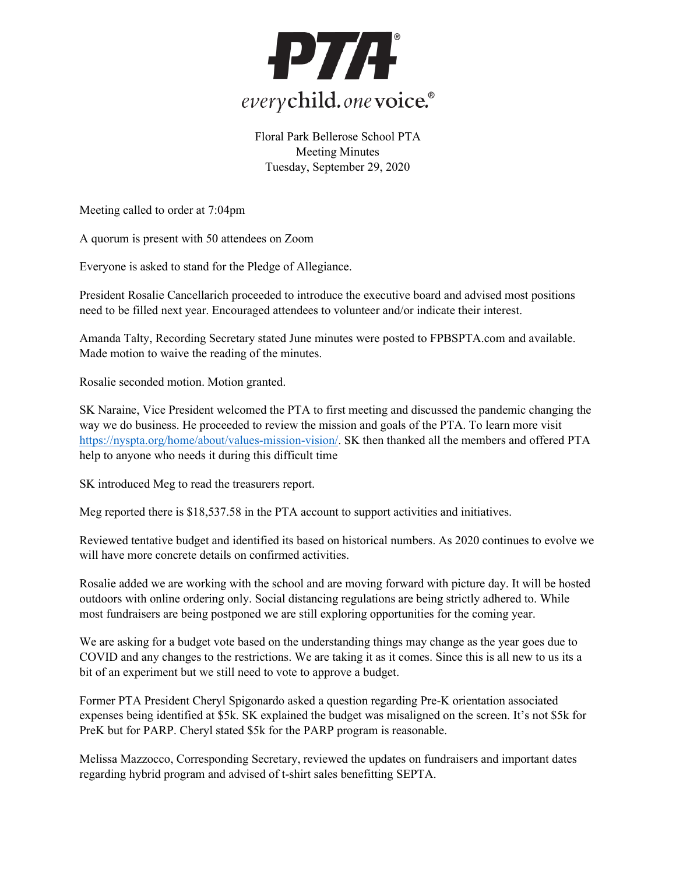

Floral Park Bellerose School PTA Meeting Minutes Tuesday, September 29, 2020

Meeting called to order at 7:04pm

A quorum is present with 50 attendees on Zoom

Everyone is asked to stand for the Pledge of Allegiance.

President Rosalie Cancellarich proceeded to introduce the executive board and advised most positions need to be filled next year. Encouraged attendees to volunteer and/or indicate their interest.

Amanda Talty, Recording Secretary stated June minutes were posted to FPBSPTA.com and available. Made motion to waive the reading of the minutes.

Rosalie seconded motion. Motion granted.

SK Naraine, Vice President welcomed the PTA to first meeting and discussed the pandemic changing the way we do business. He proceeded to review the mission and goals of the PTA. To learn more visit [https://nyspta.org/home/about/values-mission-vision/.](https://nyspta.org/home/about/values-mission-vision/) SK then thanked all the members and offered PTA help to anyone who needs it during this difficult time

SK introduced Meg to read the treasurers report.

Meg reported there is \$18,537.58 in the PTA account to support activities and initiatives.

Reviewed tentative budget and identified its based on historical numbers. As 2020 continues to evolve we will have more concrete details on confirmed activities.

Rosalie added we are working with the school and are moving forward with picture day. It will be hosted outdoors with online ordering only. Social distancing regulations are being strictly adhered to. While most fundraisers are being postponed we are still exploring opportunities for the coming year.

We are asking for a budget vote based on the understanding things may change as the year goes due to COVID and any changes to the restrictions. We are taking it as it comes. Since this is all new to us its a bit of an experiment but we still need to vote to approve a budget.

Former PTA President Cheryl Spigonardo asked a question regarding Pre-K orientation associated expenses being identified at \$5k. SK explained the budget was misaligned on the screen. It's not \$5k for PreK but for PARP. Cheryl stated \$5k for the PARP program is reasonable.

Melissa Mazzocco, Corresponding Secretary, reviewed the updates on fundraisers and important dates regarding hybrid program and advised of t-shirt sales benefitting SEPTA.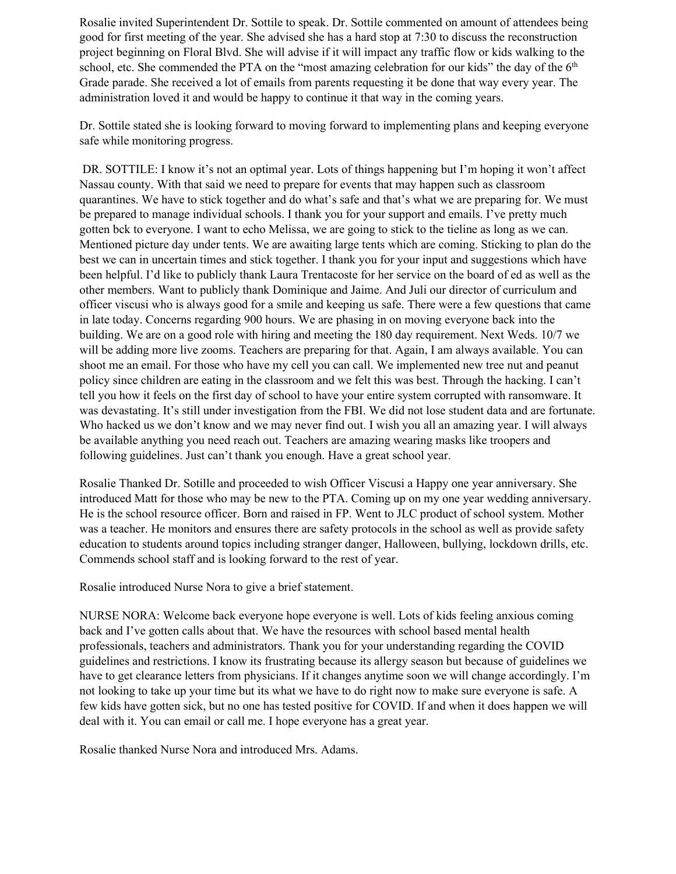Rosalie invited Superintendent Dr. Sottile to speak. Dr. Sottile commented on amount of attendees being good for first meeting of the year. She advised she has a hard stop at 7:30 to discuss the reconstruction project beginning on Floral Blvd. She will advise if it will impact any traffic flow or kids walking to the school, etc. She commended the PTA on the "most amazing celebration for our kids" the day of the  $6<sup>th</sup>$ Grade parade. She received a lot of emails from parents requesting it be done that way every year. The administration loved it and would be happy to continue it that way in the coming years.

Dr. Sottile stated she is looking forward to moving forward to implementing plans and keeping everyone safe while monitoring progress.

DR. SOTTILE: I know it's not an optimal year. Lots of things happening but I'm hoping it won't affect Nassau county. With that said we need to prepare for events that may happen such as classroom quarantines. We have to stick together and do what's safe and that's what we are preparing for. We must be prepared to manage individual schools. I thank you for your support and emails. I've pretty much gotten bck to everyone. I want to echo Melissa, we are going to stick to the tieline as long as we can. Mentioned picture day under tents. We are awaiting large tents which are coming. Sticking to plan do the best we can in uncertain times and stick together. I thank you for your input and suggestions which have been helpful. I'd like to publicly thank Laura Trentacoste for her service on the board of ed as well as the other members. Want to publicly thank Dominique and Jaime. And Juli our director of curriculum and officer viscusi who is always good for a smile and keeping us safe. There were a few questions that came in late today. Concerns regarding 900 hours. We are phasing in on moving everyone back into the building. We are on a good role with hiring and meeting the 180 day requirement. Next Weds. 10/7 we will be adding more live zooms. Teachers are preparing for that. Again, I am always available. You can shoot me an email. For those who have my cell you can call. We implemented new tree nut and peanut policy since children are eating in the classroom and we felt this was best. Through the hacking. I can't tell you how it feels on the first day of school to have your entire system corrupted with ransomware. It was devastating. It's still under investigation from the FBI. We did not lose student data and are fortunate. Who hacked us we don't know and we may never find out. I wish you all an amazing year. I will always be available anything you need reach out. Teachers are amazing wearing masks like troopers and following guidelines. Just can't thank you enough. Have a great school year.

Rosalie Thanked Dr. Sotille and proceeded to wish Officer Viscusi a Happy one year anniversary. She introduced Matt for those who may be new to the PTA. Coming up on my one year wedding anniversary. He is the school resource officer. Born and raised in FP. Went to JLC product of school system. Mother was a teacher. He monitors and ensures there are safety protocols in the school as well as provide safety education to students around topics including stranger danger, Halloween, bullying, lockdown drills, etc. Commends school staff and is looking forward to the rest of year.

Rosalie introduced Nurse Nora to give a brief statement.

NURSE NORA: Welcome back everyone hope everyone is well. Lots of kids feeling anxious coming back and I've gotten calls about that. We have the resources with school based mental health professionals, teachers and administrators. Thank you for your understanding regarding the COVID guidelines and restrictions. I know its frustrating because its allergy season but because of guidelines we have to get clearance letters from physicians. If it changes anytime soon we will change accordingly. I'm not looking to take up your time but its what we have to do right now to make sure everyone is safe. A few kids have gotten sick, but no one has tested positive for COVID. If and when it does happen we will deal with it. You can email or call me. I hope everyone has a great year.

Rosalie thanked Nurse Nora and introduced Mrs. Adams.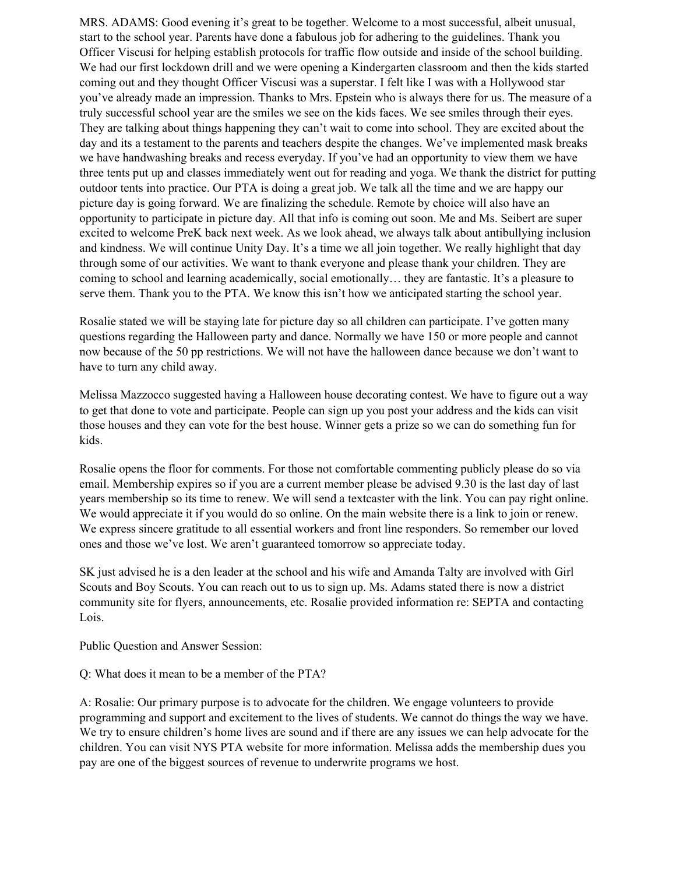MRS. ADAMS: Good evening it's great to be together. Welcome to a most successful, albeit unusual, start to the school year. Parents have done a fabulous job for adhering to the guidelines. Thank you Officer Viscusi for helping establish protocols for traffic flow outside and inside of the school building. We had our first lockdown drill and we were opening a Kindergarten classroom and then the kids started coming out and they thought Officer Viscusi was a superstar. I felt like I was with a Hollywood star you've already made an impression. Thanks to Mrs. Epstein who is always there for us. The measure of a truly successful school year are the smiles we see on the kids faces. We see smiles through their eyes. They are talking about things happening they can't wait to come into school. They are excited about the day and its a testament to the parents and teachers despite the changes. We've implemented mask breaks we have handwashing breaks and recess everyday. If you've had an opportunity to view them we have three tents put up and classes immediately went out for reading and yoga. We thank the district for putting outdoor tents into practice. Our PTA is doing a great job. We talk all the time and we are happy our picture day is going forward. We are finalizing the schedule. Remote by choice will also have an opportunity to participate in picture day. All that info is coming out soon. Me and Ms. Seibert are super excited to welcome PreK back next week. As we look ahead, we always talk about antibullying inclusion and kindness. We will continue Unity Day. It's a time we all join together. We really highlight that day through some of our activities. We want to thank everyone and please thank your children. They are coming to school and learning academically, social emotionally… they are fantastic. It's a pleasure to serve them. Thank you to the PTA. We know this isn't how we anticipated starting the school year.

Rosalie stated we will be staying late for picture day so all children can participate. I've gotten many questions regarding the Halloween party and dance. Normally we have 150 or more people and cannot now because of the 50 pp restrictions. We will not have the halloween dance because we don't want to have to turn any child away.

Melissa Mazzocco suggested having a Halloween house decorating contest. We have to figure out a way to get that done to vote and participate. People can sign up you post your address and the kids can visit those houses and they can vote for the best house. Winner gets a prize so we can do something fun for kids.

Rosalie opens the floor for comments. For those not comfortable commenting publicly please do so via email. Membership expires so if you are a current member please be advised 9.30 is the last day of last years membership so its time to renew. We will send a textcaster with the link. You can pay right online. We would appreciate it if you would do so online. On the main website there is a link to join or renew. We express sincere gratitude to all essential workers and front line responders. So remember our loved ones and those we've lost. We aren't guaranteed tomorrow so appreciate today.

SK just advised he is a den leader at the school and his wife and Amanda Talty are involved with Girl Scouts and Boy Scouts. You can reach out to us to sign up. Ms. Adams stated there is now a district community site for flyers, announcements, etc. Rosalie provided information re: SEPTA and contacting Lois.

Public Question and Answer Session:

Q: What does it mean to be a member of the PTA?

A: Rosalie: Our primary purpose is to advocate for the children. We engage volunteers to provide programming and support and excitement to the lives of students. We cannot do things the way we have. We try to ensure children's home lives are sound and if there are any issues we can help advocate for the children. You can visit NYS PTA website for more information. Melissa adds the membership dues you pay are one of the biggest sources of revenue to underwrite programs we host.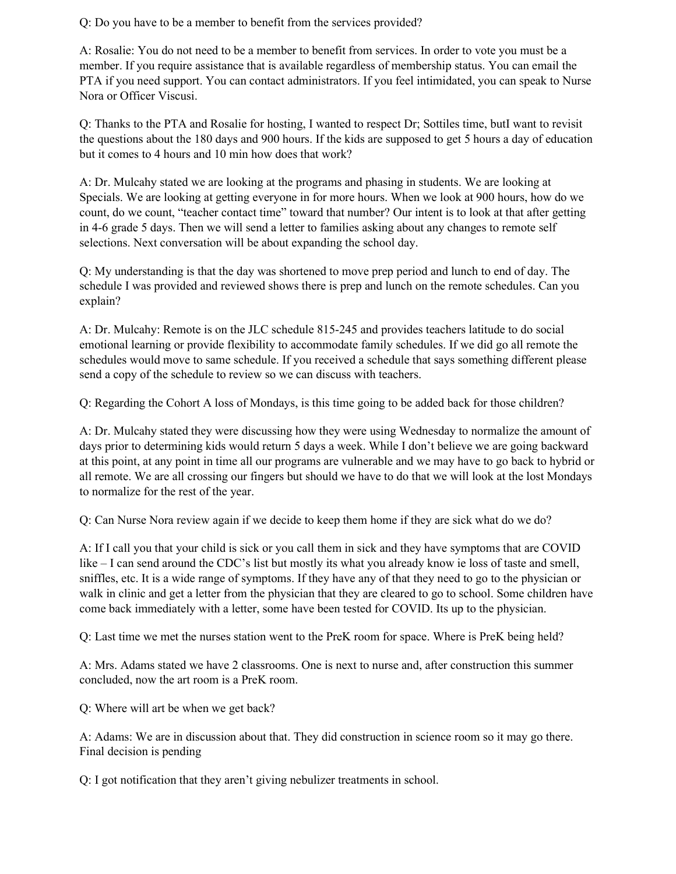Q: Do you have to be a member to benefit from the services provided?

A: Rosalie: You do not need to be a member to benefit from services. In order to vote you must be a member. If you require assistance that is available regardless of membership status. You can email the PTA if you need support. You can contact administrators. If you feel intimidated, you can speak to Nurse Nora or Officer Viscusi.

Q: Thanks to the PTA and Rosalie for hosting, I wanted to respect Dr; Sottiles time, butI want to revisit the questions about the 180 days and 900 hours. If the kids are supposed to get 5 hours a day of education but it comes to 4 hours and 10 min how does that work?

A: Dr. Mulcahy stated we are looking at the programs and phasing in students. We are looking at Specials. We are looking at getting everyone in for more hours. When we look at 900 hours, how do we count, do we count, "teacher contact time" toward that number? Our intent is to look at that after getting in 4-6 grade 5 days. Then we will send a letter to families asking about any changes to remote self selections. Next conversation will be about expanding the school day.

Q: My understanding is that the day was shortened to move prep period and lunch to end of day. The schedule I was provided and reviewed shows there is prep and lunch on the remote schedules. Can you explain?

A: Dr. Mulcahy: Remote is on the JLC schedule 815-245 and provides teachers latitude to do social emotional learning or provide flexibility to accommodate family schedules. If we did go all remote the schedules would move to same schedule. If you received a schedule that says something different please send a copy of the schedule to review so we can discuss with teachers.

Q: Regarding the Cohort A loss of Mondays, is this time going to be added back for those children?

A: Dr. Mulcahy stated they were discussing how they were using Wednesday to normalize the amount of days prior to determining kids would return 5 days a week. While I don't believe we are going backward at this point, at any point in time all our programs are vulnerable and we may have to go back to hybrid or all remote. We are all crossing our fingers but should we have to do that we will look at the lost Mondays to normalize for the rest of the year.

Q: Can Nurse Nora review again if we decide to keep them home if they are sick what do we do?

A: If I call you that your child is sick or you call them in sick and they have symptoms that are COVID like – I can send around the CDC's list but mostly its what you already know ie loss of taste and smell, sniffles, etc. It is a wide range of symptoms. If they have any of that they need to go to the physician or walk in clinic and get a letter from the physician that they are cleared to go to school. Some children have come back immediately with a letter, some have been tested for COVID. Its up to the physician.

Q: Last time we met the nurses station went to the PreK room for space. Where is PreK being held?

A: Mrs. Adams stated we have 2 classrooms. One is next to nurse and, after construction this summer concluded, now the art room is a PreK room.

Q: Where will art be when we get back?

A: Adams: We are in discussion about that. They did construction in science room so it may go there. Final decision is pending

Q: I got notification that they aren't giving nebulizer treatments in school.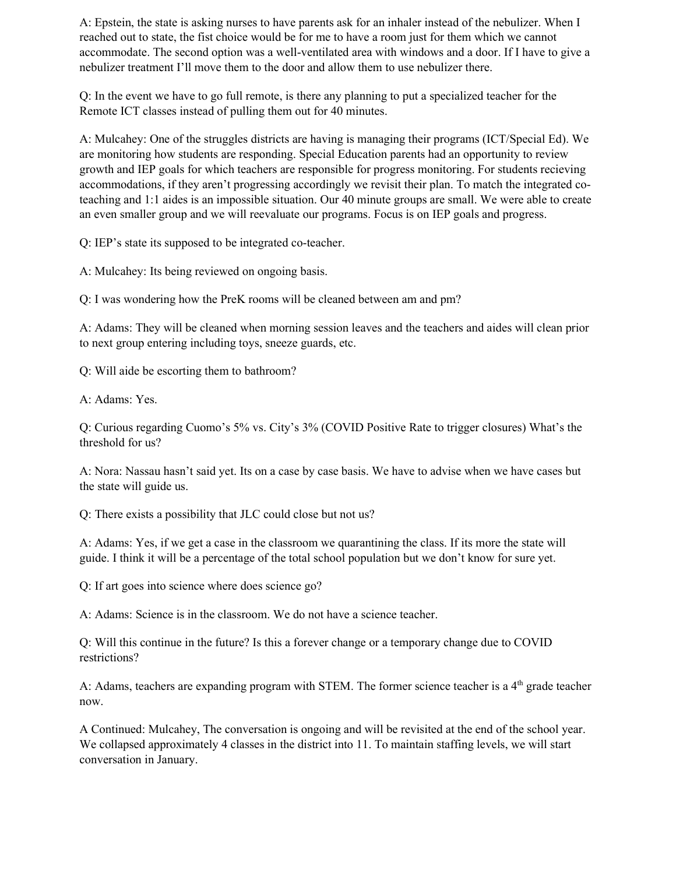A: Epstein, the state is asking nurses to have parents ask for an inhaler instead of the nebulizer. When I reached out to state, the fist choice would be for me to have a room just for them which we cannot accommodate. The second option was a well-ventilated area with windows and a door. If I have to give a nebulizer treatment I'll move them to the door and allow them to use nebulizer there.

Q: In the event we have to go full remote, is there any planning to put a specialized teacher for the Remote ICT classes instead of pulling them out for 40 minutes.

A: Mulcahey: One of the struggles districts are having is managing their programs (ICT/Special Ed). We are monitoring how students are responding. Special Education parents had an opportunity to review growth and IEP goals for which teachers are responsible for progress monitoring. For students recieving accommodations, if they aren't progressing accordingly we revisit their plan. To match the integrated coteaching and 1:1 aides is an impossible situation. Our 40 minute groups are small. We were able to create an even smaller group and we will reevaluate our programs. Focus is on IEP goals and progress.

Q: IEP's state its supposed to be integrated co-teacher.

A: Mulcahey: Its being reviewed on ongoing basis.

Q: I was wondering how the PreK rooms will be cleaned between am and pm?

A: Adams: They will be cleaned when morning session leaves and the teachers and aides will clean prior to next group entering including toys, sneeze guards, etc.

Q: Will aide be escorting them to bathroom?

A: Adams: Yes.

Q: Curious regarding Cuomo's 5% vs. City's 3% (COVID Positive Rate to trigger closures) What's the threshold for us?

A: Nora: Nassau hasn't said yet. Its on a case by case basis. We have to advise when we have cases but the state will guide us.

Q: There exists a possibility that JLC could close but not us?

A: Adams: Yes, if we get a case in the classroom we quarantining the class. If its more the state will guide. I think it will be a percentage of the total school population but we don't know for sure yet.

Q: If art goes into science where does science go?

A: Adams: Science is in the classroom. We do not have a science teacher.

Q: Will this continue in the future? Is this a forever change or a temporary change due to COVID restrictions?

A: Adams, teachers are expanding program with STEM. The former science teacher is a 4<sup>th</sup> grade teacher now.

A Continued: Mulcahey, The conversation is ongoing and will be revisited at the end of the school year. We collapsed approximately 4 classes in the district into 11. To maintain staffing levels, we will start conversation in January.